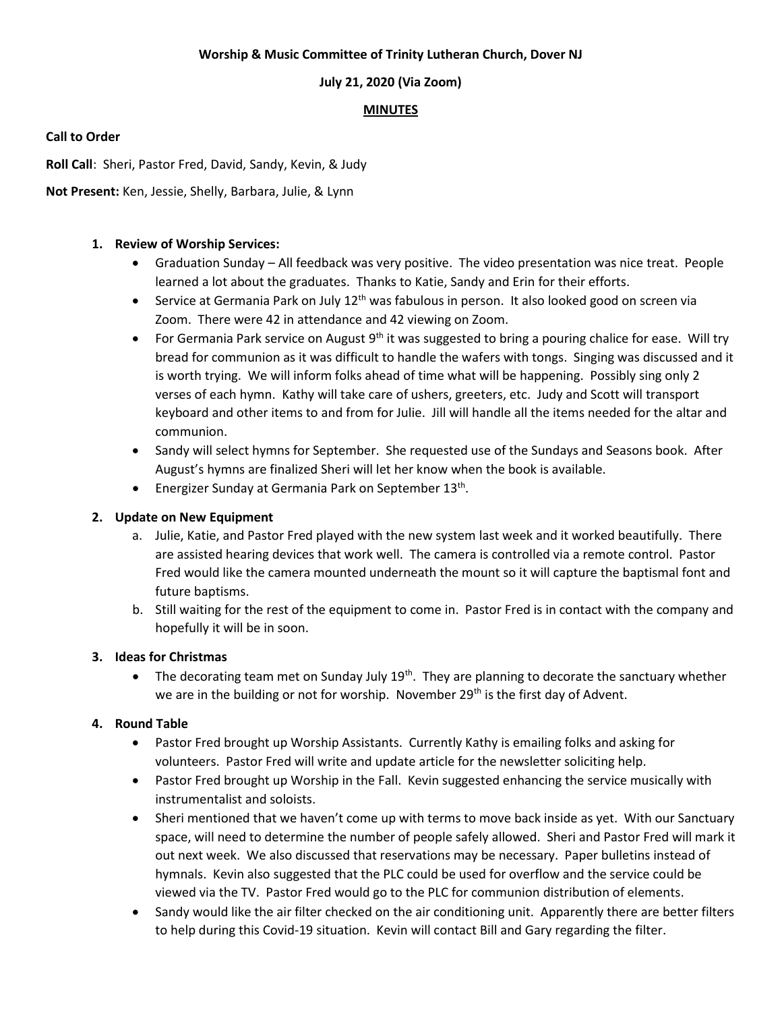#### **Worship & Music Committee of Trinity Lutheran Church, Dover NJ**

## **July 21, 2020 (Via Zoom)**

# **MINUTES**

### **Call to Order**

**Roll Call**: Sheri, Pastor Fred, David, Sandy, Kevin, & Judy

**Not Present:** Ken, Jessie, Shelly, Barbara, Julie, & Lynn

### **1. Review of Worship Services:**

- Graduation Sunday All feedback was very positive. The video presentation was nice treat. People learned a lot about the graduates. Thanks to Katie, Sandy and Erin for their efforts.
- Service at Germania Park on July 12<sup>th</sup> was fabulous in person. It also looked good on screen via Zoom. There were 42 in attendance and 42 viewing on Zoom.
- For Germania Park service on August  $9<sup>th</sup>$  it was suggested to bring a pouring chalice for ease. Will try bread for communion as it was difficult to handle the wafers with tongs. Singing was discussed and it is worth trying. We will inform folks ahead of time what will be happening. Possibly sing only 2 verses of each hymn. Kathy will take care of ushers, greeters, etc. Judy and Scott will transport keyboard and other items to and from for Julie. Jill will handle all the items needed for the altar and communion.
- Sandy will select hymns for September. She requested use of the Sundays and Seasons book. After August's hymns are finalized Sheri will let her know when the book is available.
- Energizer Sunday at Germania Park on September 13<sup>th</sup>.

## **2. Update on New Equipment**

- a. Julie, Katie, and Pastor Fred played with the new system last week and it worked beautifully. There are assisted hearing devices that work well. The camera is controlled via a remote control. Pastor Fred would like the camera mounted underneath the mount so it will capture the baptismal font and future baptisms.
- b. Still waiting for the rest of the equipment to come in. Pastor Fred is in contact with the company and hopefully it will be in soon.

#### **3. Ideas for Christmas**

The decorating team met on Sunday July 19<sup>th</sup>. They are planning to decorate the sanctuary whether we are in the building or not for worship. November 29<sup>th</sup> is the first day of Advent.

## **4. Round Table**

- Pastor Fred brought up Worship Assistants. Currently Kathy is emailing folks and asking for volunteers. Pastor Fred will write and update article for the newsletter soliciting help.
- Pastor Fred brought up Worship in the Fall. Kevin suggested enhancing the service musically with instrumentalist and soloists.
- Sheri mentioned that we haven't come up with terms to move back inside as yet. With our Sanctuary space, will need to determine the number of people safely allowed. Sheri and Pastor Fred will mark it out next week. We also discussed that reservations may be necessary. Paper bulletins instead of hymnals. Kevin also suggested that the PLC could be used for overflow and the service could be viewed via the TV. Pastor Fred would go to the PLC for communion distribution of elements.
- Sandy would like the air filter checked on the air conditioning unit. Apparently there are better filters to help during this Covid-19 situation. Kevin will contact Bill and Gary regarding the filter.